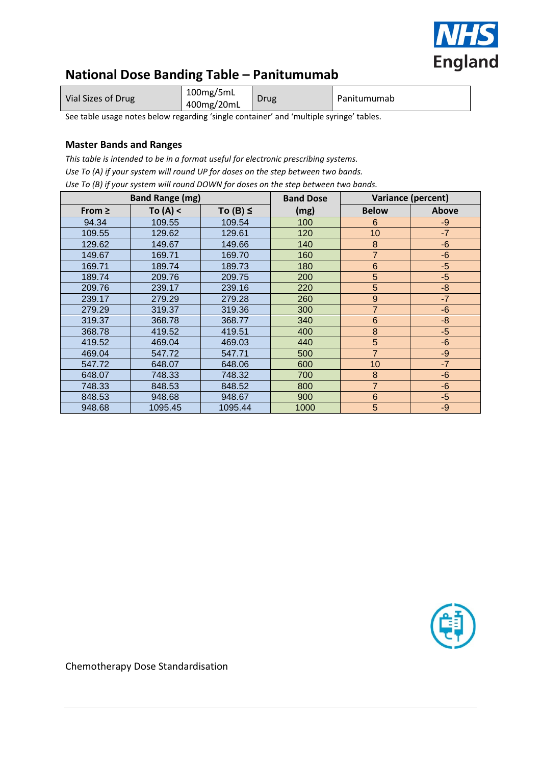

# **National Dose Banding Table – Panitumumab**

| Vial Sizes of Drug | 100mg/5mL<br>400mg/20mL | Drug | Panitumumab |
|--------------------|-------------------------|------|-------------|
|--------------------|-------------------------|------|-------------|

See table usage notes below regarding 'single container' and 'multiple syringe' tables.

## **Master Bands and Ranges**

*This table is intended to be in a format useful for electronic prescribing systems. Use To (A) if your system will round UP for doses on the step between two bands. Use To (B) if your system will round DOWN for doses on the step between two bands.*

|             | <b>Band Range (mg)</b> |               | <b>Band Dose</b> | <b>Variance (percent)</b> |       |  |
|-------------|------------------------|---------------|------------------|---------------------------|-------|--|
| From $\geq$ | To $(A) <$             | To $(B) \leq$ | (mg)             | <b>Below</b>              | Above |  |
| 94.34       | 109.55                 | 109.54        | 100              | 6                         | $-9$  |  |
| 109.55      | 129.62                 | 129.61        | 120              | 10                        | $-7$  |  |
| 129.62      | 149.67                 | 149.66        | 140              | $\bf 8$                   | $-6$  |  |
| 149.67      | 169.71                 | 169.70        | 160              | $\overline{7}$            | $-6$  |  |
| 169.71      | 189.74                 | 189.73        | 180              | $6\phantom{1}6$           | $-5$  |  |
| 189.74      | 209.76                 | 209.75        | 200              | 5                         | $-5$  |  |
| 209.76      | 239.17                 | 239.16        | 220              | 5                         | $-8$  |  |
| 239.17      | 279.29                 | 279.28        | 260              | 9                         | $-7$  |  |
| 279.29      | 319.37                 | 319.36        | 300              | $\overline{7}$            | $-6$  |  |
| 319.37      | 368.78                 | 368.77        | 340              | $6\phantom{1}6$           | $-8$  |  |
| 368.78      | 419.52                 | 419.51        | 400              | $\bf 8$                   | $-5$  |  |
| 419.52      | 469.04                 | 469.03        | 440              | 5                         | $-6$  |  |
| 469.04      | 547.72                 | 547.71        | 500              | $\overline{7}$            | $-9$  |  |
| 547.72      | 648.07                 | 648.06        | 600              | 10                        | $-7$  |  |
| 648.07      | 748.33                 | 748.32        | 700              | $\bf 8$                   | $-6$  |  |
| 748.33      | 848.53                 | 848.52        | 800              | $\overline{7}$            | $-6$  |  |
| 848.53      | 948.68                 | 948.67        | 900              | $6\phantom{1}6$           | $-5$  |  |
| 948.68      | 1095.45                | 1095.44       | 1000             | 5                         | $-9$  |  |



Chemotherapy Dose Standardisation